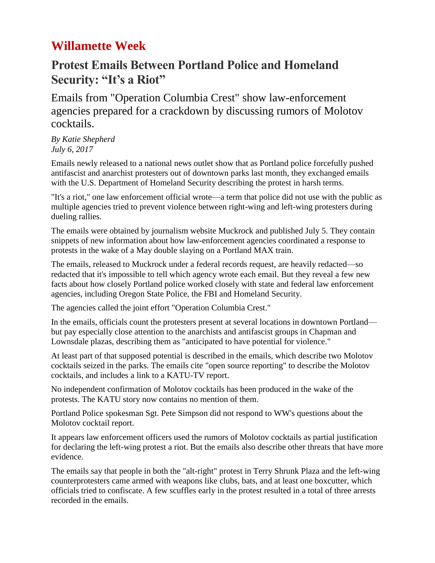## **Willamette Week**

## **Protest Emails Between Portland Police and Homeland Security: "It's a Riot"**

Emails from "Operation Columbia Crest" show law-enforcement agencies prepared for a crackdown by discussing rumors of Molotov cocktails.

*By Katie Shepherd July 6, 2017*

Emails newly released to a national news outlet show that as Portland police forcefully pushed antifascist and anarchist protesters out of downtown parks last month, they exchanged emails with the U.S. Department of Homeland Security describing the protest in harsh terms.

"It's a riot," one law enforcement official wrote—a term that police did not use with the public as multiple agencies tried to prevent violence between right-wing and left-wing protesters during dueling rallies.

The emails were [obtained by journalism website Muckrock](https://www.muckrock.com/news/archives/2017/jul/03/operation-columbia-crest-portland/) and published July 5. They contain snippets of new information about how law-enforcement agencies coordinated a response to protests in the wake of a May double slaying on a Portland MAX train.

The emails, [released to Muckrock under a federal records request,](https://www.muckrock.com/news/archives/2017/jul/03/operation-columbia-crest-portland/) are heavily redacted—so redacted that it's impossible to tell which agency wrote each email. But they reveal a few new facts about how closely Portland police worked closely with state and federal law enforcement agencies, including Oregon State Police, the FBI and Homeland Security.

The agencies called the joint effort "Operation Columbia Crest."

In the emails, officials count the protesters present at several locations in downtown Portland but pay especially close attention to the anarchists and antifascist groups in Chapman and Lownsdale plazas, describing them as "anticipated to have potential for violence."

At least part of that supposed potential is described in the emails, which describe two Molotov cocktails seized in the parks. The emails cite "open source reporting" to describe the Molotov cocktails, and includes a link to a KATU-TV report.

No independent confirmation of Molotov cocktails has been produced in the wake of the protests. The KATU story now contains no mention of them.

Portland Police spokesman Sgt. Pete Simpson did not respond to WW's questions about the Molotov cocktail report.

It appears law enforcement officers used the rumors of Molotov cocktails as partial justification for declaring the left-wing protest a riot. But the emails also describe other threats that have more evidence.

The emails say that people in both the "alt-right" protest in Terry Shrunk Plaza and the left-wing counterprotesters came armed with weapons like clubs, bats, and at least one boxcutter, which officials tried to confiscate. A few scuffles early in the protest resulted in a total of three arrests recorded in the emails.